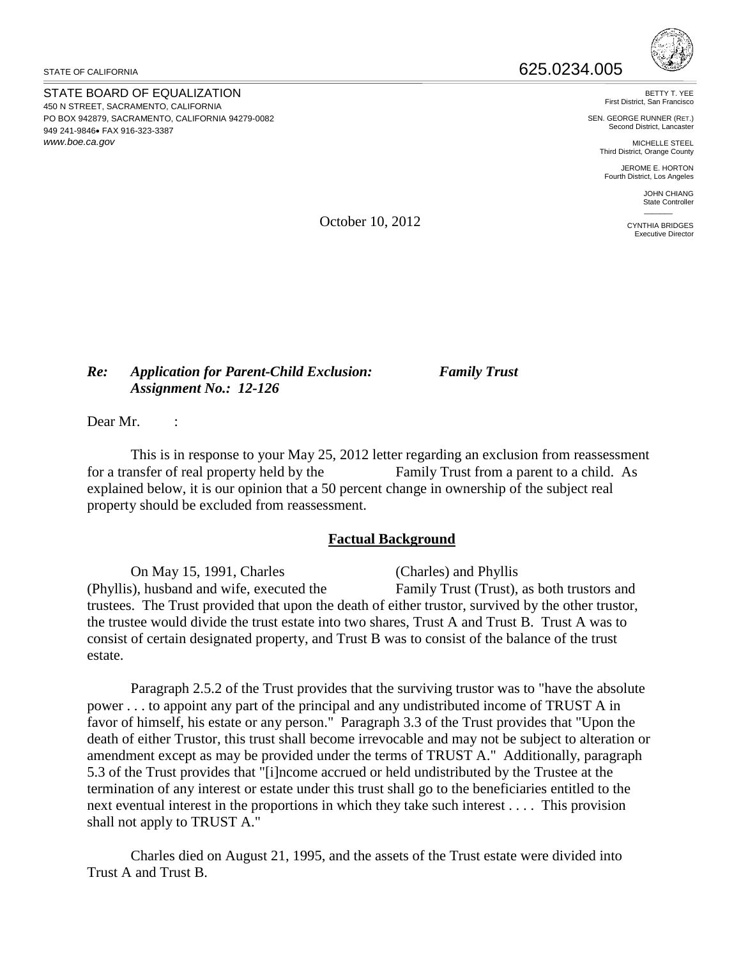STATE BOARD OF EQUALIZATION 450 N STREET, SACRAMENTO, CALIFORNIA PO BOX 942879, SACRAMENTO, CALIFORNIA 94279-0082 949 241-9846• FAX 916-323-3387 *<www.boe.ca.gov>*



BETTY T. YEE First District, San Francisco

SEN. GEORGE RUNNER (RET.) Second District, Lancaster

MICHELLE STEEL Third District, Orange County

JEROME E. HORTON Fourth District, Los Angeles

> JOHN CHIANG State Controller  $\overline{\phantom{a}}$

CYNTHIA BRIDGES Executive Director

October 10, 2012

## *Re: Application for Parent-Child Exclusion: Family Trust Assignment No.: 12-126*

Dear Mr.

This is in response to your May 25, 2012 letter regarding an exclusion from reassessment for a transfer of real property held by the Family Trust from a parent to a child. As explained below, it is our opinion that a 50 percent change in ownership of the subject real property should be excluded from reassessment.

## **Factual Background**

On May 15, 1991, Charles (Charles) and Phyllis (Phyllis), husband and wife, executed the Family Trust (Trust), as both trustors and trustees. The Trust provided that upon the death of either trustor, survived by the other trustor, the trustee would divide the trust estate into two shares, Trust A and Trust B. Trust A was to consist of certain designated property, and Trust B was to consist of the balance of the trust estate.

Paragraph 2.5.2 of the Trust provides that the surviving trustor was to "have the absolute power . . . to appoint any part of the principal and any undistributed income of TRUST A in favor of himself, his estate or any person." Paragraph 3.3 of the Trust provides that "Upon the death of either Trustor, this trust shall become irrevocable and may not be subject to alteration or amendment except as may be provided under the terms of TRUST A." Additionally, paragraph 5.3 of the Trust provides that "[i]ncome accrued or held undistributed by the Trustee at the termination of any interest or estate under this trust shall go to the beneficiaries entitled to the next eventual interest in the proportions in which they take such interest . . . . This provision shall not apply to TRUST A."

Charles died on August 21, 1995, and the assets of the Trust estate were divided into Trust A and Trust B.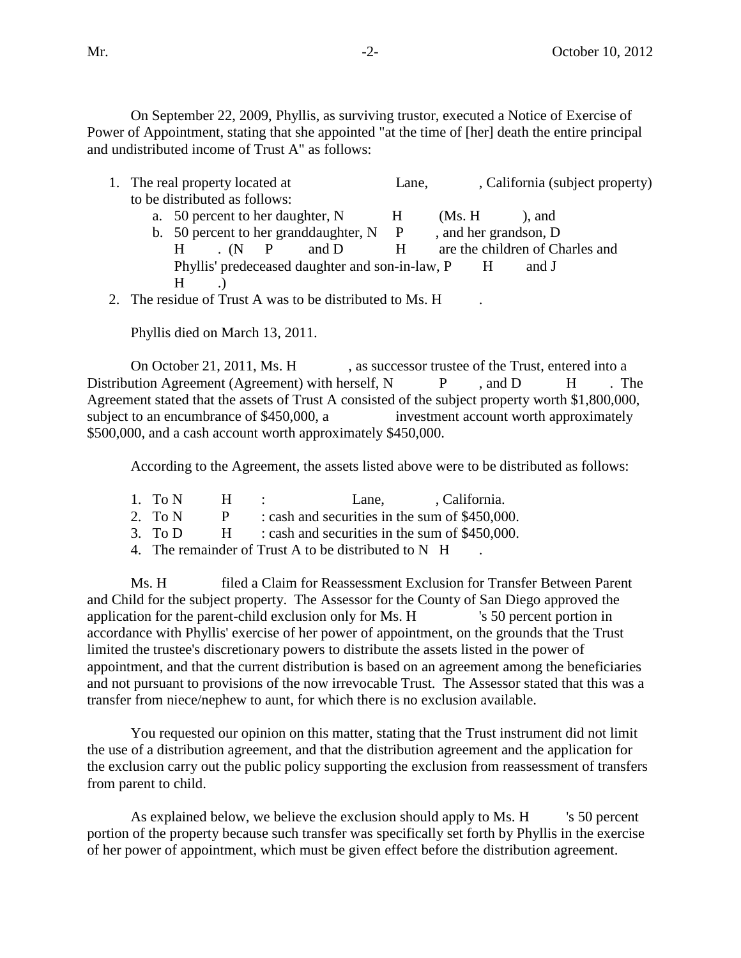On September 22, 2009, Phyllis, as surviving trustor, executed a Notice of Exercise of Power of Appointment, stating that she appointed "at the time of [her] death the entire principal and undistributed income of Trust A" as follows:

| 1. The real property located at                         |              | Lane,   | , California (subject property) |  |
|---------------------------------------------------------|--------------|---------|---------------------------------|--|
| to be distributed as follows:                           |              |         |                                 |  |
| a. 50 percent to her daughter, N                        | H            | (Ms. H) | ), and                          |  |
| b. 50 percent to her granddaughter, N                   | $\mathbf{P}$ |         | , and her grandson, D           |  |
| $(N \mid P)$<br>H                                       | H<br>and D   |         | are the children of Charles and |  |
| Phyllis' predeceased daughter and son-in-law, P         |              | H       | and J                           |  |
| H                                                       |              |         |                                 |  |
| 2. The regidue of Trust A wee to be distributed to Me H |              |         |                                 |  |

2. The residue of Trust A was to be distributed to Ms. H .

Phyllis died on March 13, 2011.

On October 21, 2011, Ms. H , as successor trustee of the Trust, entered into a Distribution Agreement (Agreement) with herself, N P, and D H. The Agreement stated that the assets of Trust A consisted of the subject property worth \$1,800,000, subject to an encumbrance of \$450,000, a investment account worth approximately \$500,000, and a cash account worth approximately \$450,000.

According to the Agreement, the assets listed above were to be distributed as follows:

1. To N H : Lane, California.

2. To  $N$  P : cash and securities in the sum of \$450,000.

3. To D  $\qquad$  H : cash and securities in the sum of \$450,000.

4. The remainder of Trust A to be distributed to N H

Ms. H filed a Claim for Reassessment Exclusion for Transfer Between Parent and Child for the subject property. The Assessor for the County of San Diego approved the application for the parent-child exclusion only for Ms. H 's 50 percent portion in accordance with Phyllis' exercise of her power of appointment, on the grounds that the Trust limited the trustee's discretionary powers to distribute the assets listed in the power of appointment, and that the current distribution is based on an agreement among the beneficiaries and not pursuant to provisions of the now irrevocable Trust. The Assessor stated that this was a transfer from niece/nephew to aunt, for which there is no exclusion available.

You requested our opinion on this matter, stating that the Trust instrument did not limit the use of a distribution agreement, and that the distribution agreement and the application for the exclusion carry out the public policy supporting the exclusion from reassessment of transfers from parent to child.

As explained below, we believe the exclusion should apply to Ms. H 's 50 percent portion of the property because such transfer was specifically set forth by Phyllis in the exercise of her power of appointment, which must be given effect before the distribution agreement.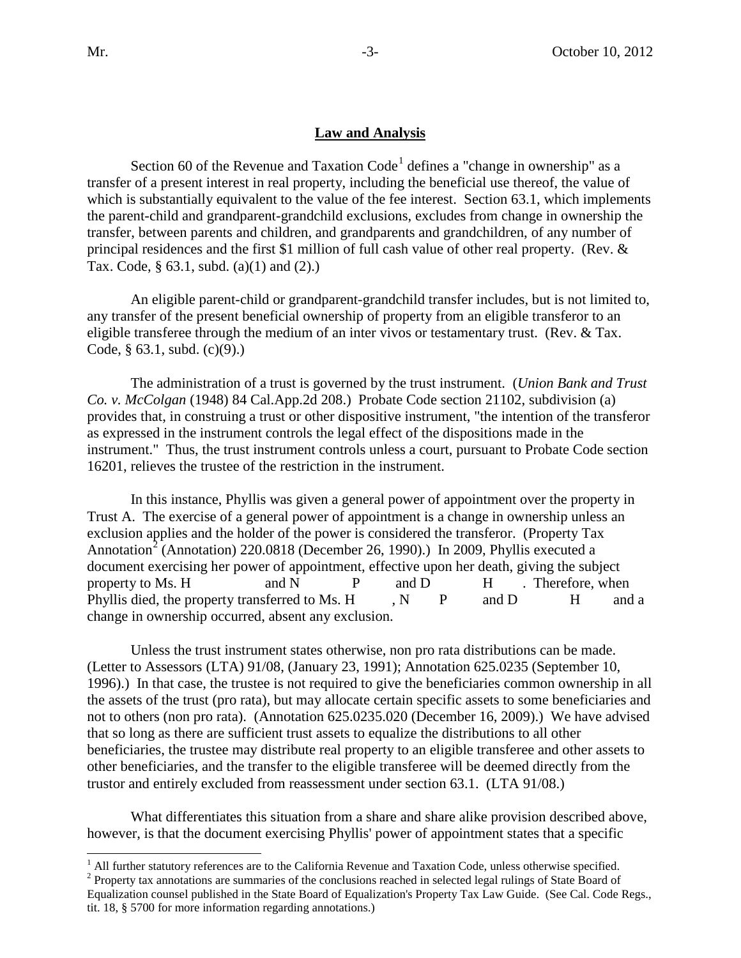## **Law and Analysis**

Section 60 of the Revenue and Taxation Code<sup>[1](#page-2-0)</sup> defines a "change in ownership" as a transfer of a present interest in real property, including the beneficial use thereof, the value of which is substantially equivalent to the value of the fee interest. Section 63.1, which implements the parent-child and grandparent-grandchild exclusions, excludes from change in ownership the transfer, between parents and children, and grandparents and grandchildren, of any number of principal residences and the first \$1 million of full cash value of other real property. (Rev. & Tax. Code, § 63.1, subd. (a)(1) and (2).)

An eligible parent-child or grandparent-grandchild transfer includes, but is not limited to, any transfer of the present beneficial ownership of property from an eligible transferor to an eligible transferee through the medium of an inter vivos or testamentary trust. (Rev. & Tax. Code, § 63.1, subd. (c)(9).)

The administration of a trust is governed by the trust instrument. (*Union Bank and Trust Co. v. McColgan* (1948) 84 Cal.App.2d 208.) Probate Code section 21102, subdivision (a) provides that, in construing a trust or other dispositive instrument, "the intention of the transferor as expressed in the instrument controls the legal effect of the dispositions made in the instrument." Thus, the trust instrument controls unless a court, pursuant to Probate Code section 16201, relieves the trustee of the restriction in the instrument.

In this instance, Phyllis was given a general power of appointment over the property in Trust A. The exercise of a general power of appointment is a change in ownership unless an exclusion applies and the holder of the power is considered the transferor. (Property Tax Annotation<sup>[2](#page-2-1)</sup> (Annotation) 220.0818 (December 26, 1990).) In 2009, Phyllis executed a document exercising her power of appointment, effective upon her death, giving the subject property to Ms. H and N P and D H . Therefore, when Phyllis died, the property transferred to Ms. H, N, P and D H and a change in ownership occurred, absent any exclusion.

Unless the trust instrument states otherwise, non pro rata distributions can be made. (Letter to Assessors (LTA) 91/08, (January 23, 1991); Annotation 625.0235 (September 10, 1996).) In that case, the trustee is not required to give the beneficiaries common ownership in all the assets of the trust (pro rata), but may allocate certain specific assets to some beneficiaries and not to others (non pro rata). (Annotation 625.0235.020 (December 16, 2009).) We have advised that so long as there are sufficient trust assets to equalize the distributions to all other beneficiaries, the trustee may distribute real property to an eligible transferee and other assets to other beneficiaries, and the transfer to the eligible transferee will be deemed directly from the trustor and entirely excluded from reassessment under section 63.1. (LTA 91/08.)

What differentiates this situation from a share and share alike provision described above, however, is that the document exercising Phyllis' power of appointment states that a specific

 $\overline{a}$  $<sup>1</sup>$  All further statutory references are to the California Revenue and Taxation Code, unless otherwise specified.</sup>

<span id="page-2-1"></span><span id="page-2-0"></span><sup>&</sup>lt;sup>2</sup> Property tax annotations are summaries of the conclusions reached in selected legal rulings of State Board of Equalization counsel published in the State Board of Equalization's Property Tax Law Guide. (See Cal. Code Regs., tit. 18, § 5700 for more information regarding annotations.)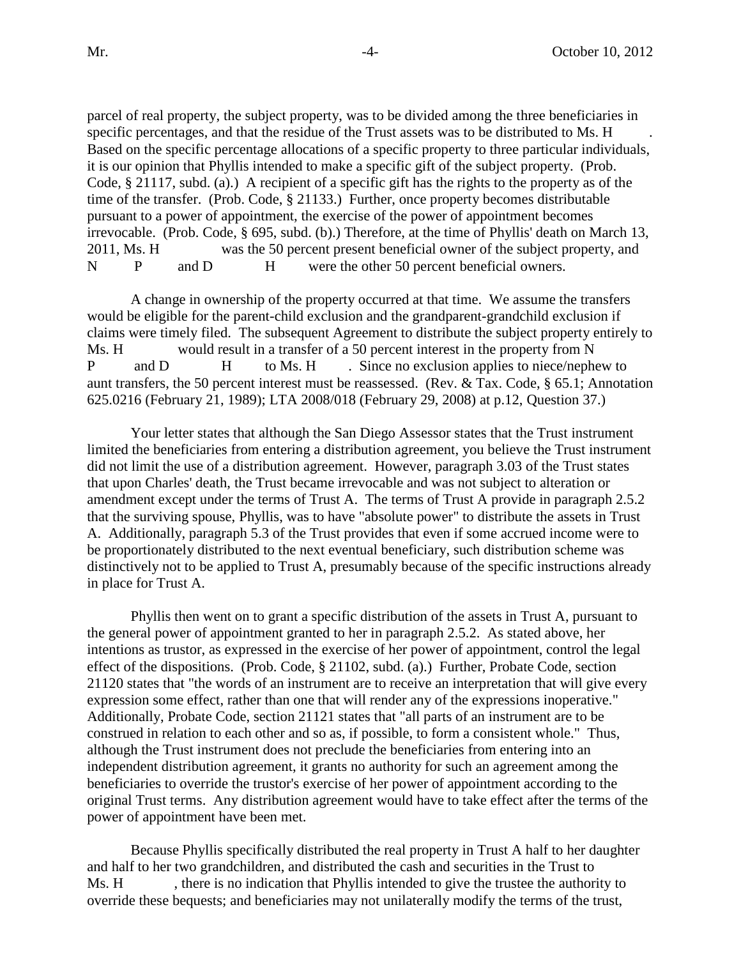parcel of real property, the subject property, was to be divided among the three beneficiaries in specific percentages, and that the residue of the Trust assets was to be distributed to Ms. H Based on the specific percentage allocations of a specific property to three particular individuals, it is our opinion that Phyllis intended to make a specific gift of the subject property. (Prob. Code, § 21117, subd. (a).) A recipient of a specific gift has the rights to the property as of the time of the transfer. (Prob. Code, § 21133.) Further, once property becomes distributable pursuant to a power of appointment, the exercise of the power of appointment becomes irrevocable. (Prob. Code, § 695, subd. (b).) Therefore, at the time of Phyllis' death on March 13, 2011, Ms. H was the 50 percent present beneficial owner of the subject property, and N P and D H were the other 50 percent beneficial owners.

A change in ownership of the property occurred at that time. We assume the transfers would be eligible for the parent-child exclusion and the grandparent-grandchild exclusion if claims were timely filed. The subsequent Agreement to distribute the subject property entirely to Ms. H would result in a transfer of a 50 percent interest in the property from N P and D H to Ms. H Since no exclusion applies to niece/nephew to aunt transfers, the 50 percent interest must be reassessed. (Rev. & Tax. Code, § 65.1; Annotation 625.0216 (February 21, 1989); LTA 2008/018 (February 29, 2008) at p.12, Question 37.)

Your letter states that although the San Diego Assessor states that the Trust instrument limited the beneficiaries from entering a distribution agreement, you believe the Trust instrument did not limit the use of a distribution agreement. However, paragraph 3.03 of the Trust states that upon Charles' death, the Trust became irrevocable and was not subject to alteration or amendment except under the terms of Trust A. The terms of Trust A provide in paragraph 2.5.2 that the surviving spouse, Phyllis, was to have "absolute power" to distribute the assets in Trust A. Additionally, paragraph 5.3 of the Trust provides that even if some accrued income were to be proportionately distributed to the next eventual beneficiary, such distribution scheme was distinctively not to be applied to Trust A, presumably because of the specific instructions already in place for Trust A.

Phyllis then went on to grant a specific distribution of the assets in Trust A, pursuant to the general power of appointment granted to her in paragraph 2.5.2. As stated above, her intentions as trustor, as expressed in the exercise of her power of appointment, control the legal effect of the dispositions. (Prob. Code, § 21102, subd. (a).) Further, Probate Code, section 21120 states that "the words of an instrument are to receive an interpretation that will give every expression some effect, rather than one that will render any of the expressions inoperative." Additionally, Probate Code, section 21121 states that "all parts of an instrument are to be construed in relation to each other and so as, if possible, to form a consistent whole." Thus, although the Trust instrument does not preclude the beneficiaries from entering into an independent distribution agreement, it grants no authority for such an agreement among the beneficiaries to override the trustor's exercise of her power of appointment according to the original Trust terms. Any distribution agreement would have to take effect after the terms of the power of appointment have been met.

Because Phyllis specifically distributed the real property in Trust A half to her daughter and half to her two grandchildren, and distributed the cash and securities in the Trust to Ms. H , there is no indication that Phyllis intended to give the trustee the authority to override these bequests; and beneficiaries may not unilaterally modify the terms of the trust,